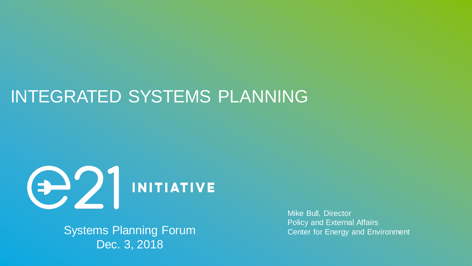# INTEGRATED SYSTEMS PLANNING



Systems Planning Forum Dec. 3, 2018

Mike Bull, Director Policy and External Affairs Center for Energy and Environment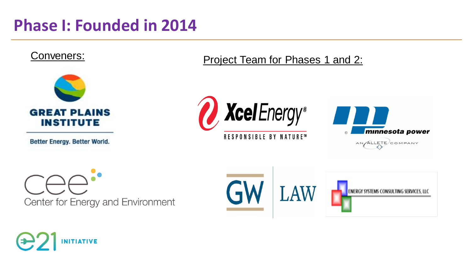## **Phase I: Founded in 2014**



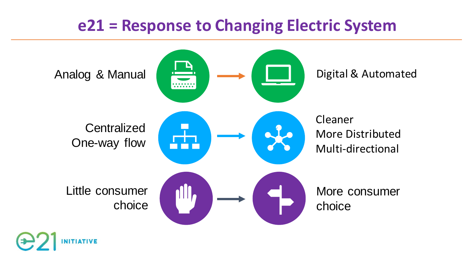#### **e21 = Response to Changing Electric System**



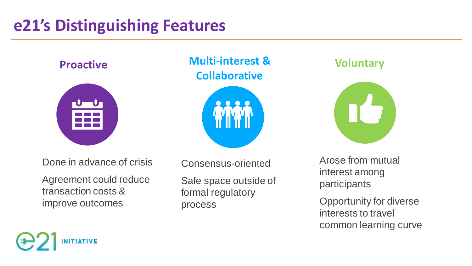# **e21's Distinguishing Features**



**Proactive Multi-interest & Collaborative**



Done in advance of crisis

Agreement could reduce transaction costs & improve outcomes

Consensus-oriented Safe space outside of formal regulatory process

#### **Voluntary**



Arose from mutual interest among participants

Opportunity for diverse interests to travel common learning curve

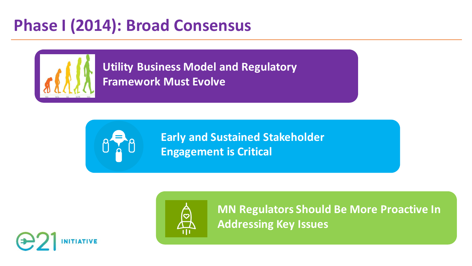# **Phase I (2014): Broad Consensus**



**Framework Must Evolve Utility Business Model and Regulatory** 



**Early and Sustained Stakeholder Engagement is Critical**



**MN Regulators Should Be More Proactive In Addressing Key Issues**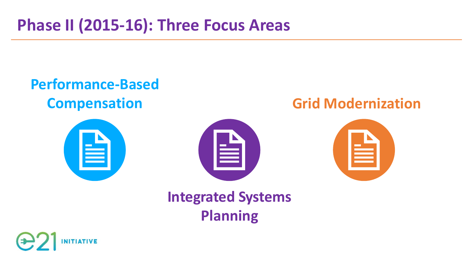# **Phase II (2015-16): Three Focus Areas**

#### **Performance-Based Compensation**





#### **Grid Modernization**



# **Integrated Systems Planning**

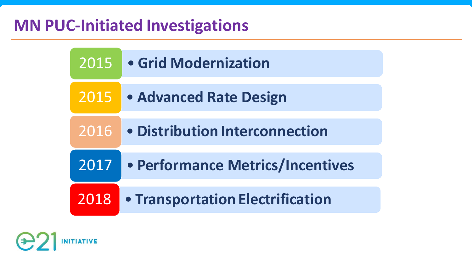#### **MN PUC-Initiated Investigations**

| 2015 | • Grid Modernization                    |
|------|-----------------------------------------|
| 2015 | <b>• Advanced Rate Design</b>           |
| 2016 | · Distribution Interconnection          |
| 2017 | • Performance Metrics/Incentives        |
| 2018 | <b>• Transportation Electrification</b> |

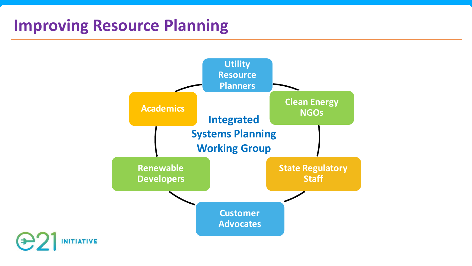## **Improving Resource Planning**

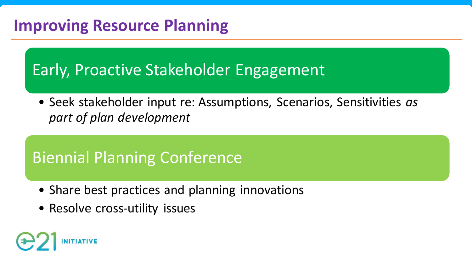# **Improving Resource Planning**

## Early, Proactive Stakeholder Engagement

• Seek stakeholder input re: Assumptions, Scenarios, Sensitivities *as part of plan development*

# Biennial Planning Conference

- Share best practices and planning innovations
- Resolve cross-utility issues

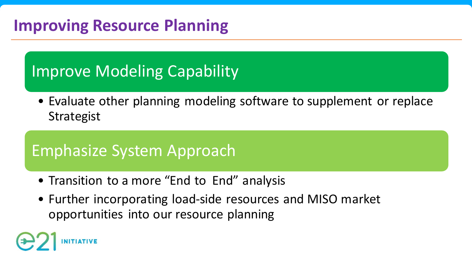# **Improving Resource Planning**

# Improve Modeling Capability

• Evaluate other planning modeling software to supplement or replace **Strategist** 

#### Emphasize System Approach

- Transition to a more "End to End" analysis
- Further incorporating load-side resources and MISO market opportunities into our resource planning

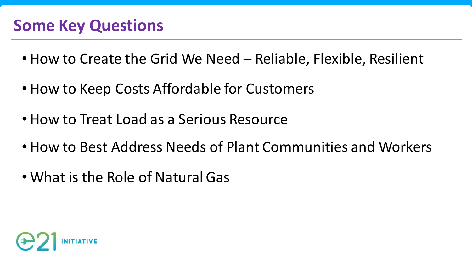- How to Create the Grid We Need Reliable, Flexible, Resilient
- How to Keep Costs Affordable for Customers
- How to Treat Load as a Serious Resource
- How to Best Address Needs of Plant Communities and Workers
- What is the Role of Natural Gas

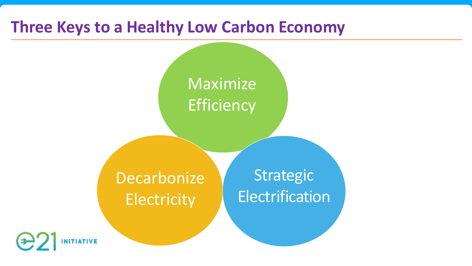#### **Three Keys to a Healthy Low Carbon Economy**

# Maximize **Efficiency**

**Decarbonize Electricity** 

Strategic Electrification